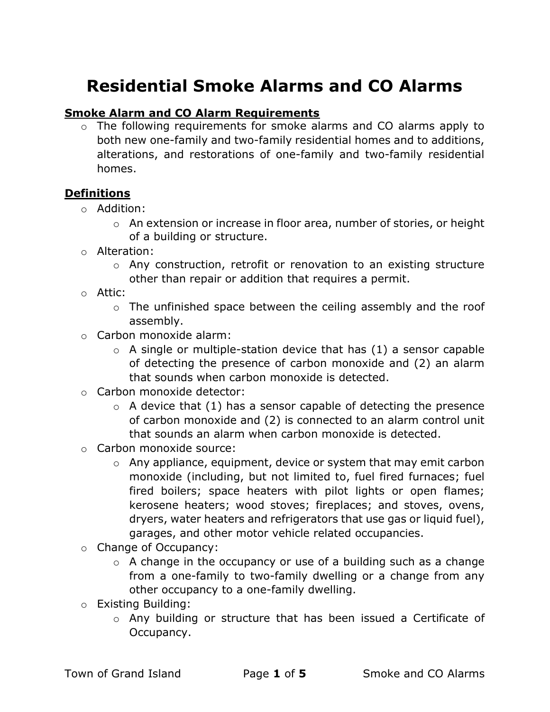# Residential Smoke Alarms and CO Alarms

## Smoke Alarm and CO Alarm Requirements

o The following requirements for smoke alarms and CO alarms apply to both new one-family and two-family residential homes and to additions, alterations, and restorations of one-family and two-family residential homes.

## Definitions

- o Addition:
	- o An extension or increase in floor area, number of stories, or height of a building or structure.
- o Alteration:
	- o Any construction, retrofit or renovation to an existing structure other than repair or addition that requires a permit.
- o Attic:
	- o The unfinished space between the ceiling assembly and the roof assembly.
- o Carbon monoxide alarm:
	- $\circ$  A single or multiple-station device that has (1) a sensor capable of detecting the presence of carbon monoxide and (2) an alarm that sounds when carbon monoxide is detected.
- o Carbon monoxide detector:
	- $\circ$  A device that (1) has a sensor capable of detecting the presence of carbon monoxide and (2) is connected to an alarm control unit that sounds an alarm when carbon monoxide is detected.
- o Carbon monoxide source:
	- o Any appliance, equipment, device or system that may emit carbon monoxide (including, but not limited to, fuel fired furnaces; fuel fired boilers; space heaters with pilot lights or open flames; kerosene heaters; wood stoves; fireplaces; and stoves, ovens, dryers, water heaters and refrigerators that use gas or liquid fuel), garages, and other motor vehicle related occupancies.
- o Change of Occupancy:
	- $\circ$  A change in the occupancy or use of a building such as a change from a one-family to two-family dwelling or a change from any other occupancy to a one-family dwelling.
- o Existing Building:
	- o Any building or structure that has been issued a Certificate of Occupancy.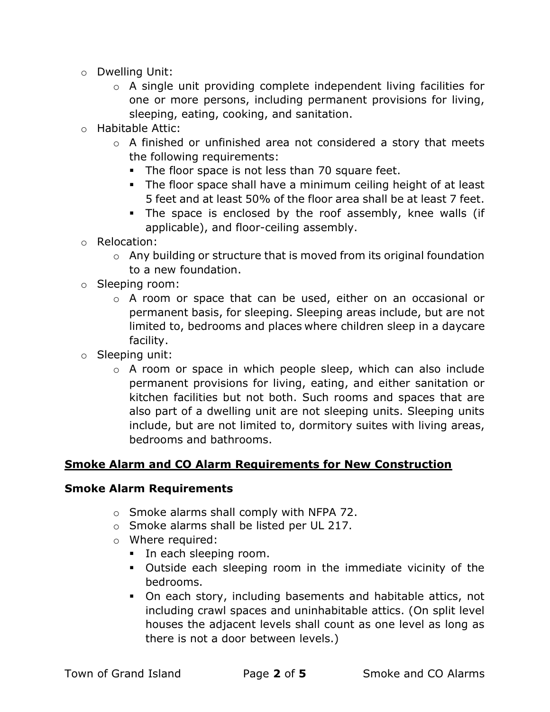- o Dwelling Unit:
	- o A single unit providing complete independent living facilities for one or more persons, including permanent provisions for living, sleeping, eating, cooking, and sanitation.
- o Habitable Attic:
	- o A finished or unfinished area not considered a story that meets the following requirements:
		- The floor space is not less than 70 square feet.
		- The floor space shall have a minimum ceiling height of at least 5 feet and at least 50% of the floor area shall be at least 7 feet.
		- The space is enclosed by the roof assembly, knee walls (if applicable), and floor-ceiling assembly.
- o Relocation:
	- $\circ$  Any building or structure that is moved from its original foundation to a new foundation.
- o Sleeping room:
	- o A room or space that can be used, either on an occasional or permanent basis, for sleeping. Sleeping areas include, but are not limited to, bedrooms and places where children sleep in a daycare facility.
- o Sleeping unit:
	- o A room or space in which people sleep, which can also include permanent provisions for living, eating, and either sanitation or kitchen facilities but not both. Such rooms and spaces that are also part of a dwelling unit are not sleeping units. Sleeping units include, but are not limited to, dormitory suites with living areas, bedrooms and bathrooms.

### Smoke Alarm and CO Alarm Requirements for New Construction

#### Smoke Alarm Requirements

- o Smoke alarms shall comply with NFPA 72.
- o Smoke alarms shall be listed per UL 217.
- o Where required:
	- In each sleeping room.
	- Outside each sleeping room in the immediate vicinity of the bedrooms.
	- On each story, including basements and habitable attics, not including crawl spaces and uninhabitable attics. (On split level houses the adjacent levels shall count as one level as long as there is not a door between levels.)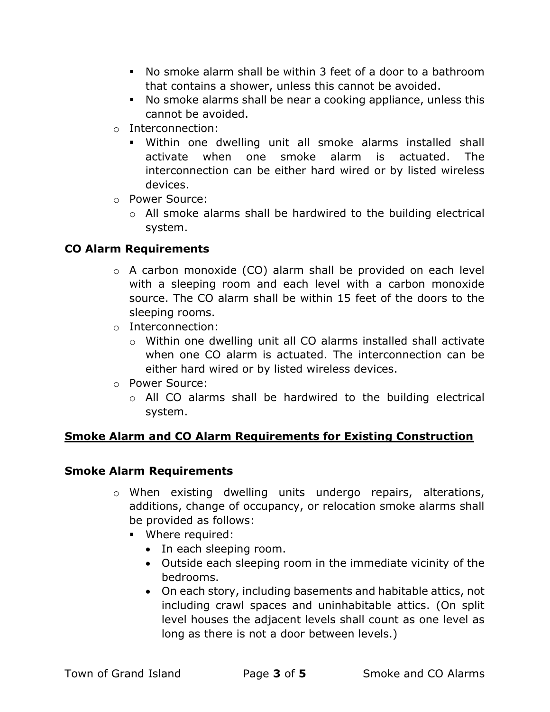- No smoke alarm shall be within 3 feet of a door to a bathroom that contains a shower, unless this cannot be avoided.
- No smoke alarms shall be near a cooking appliance, unless this cannot be avoided.
- o Interconnection:
	- Within one dwelling unit all smoke alarms installed shall activate when one smoke alarm is actuated. The interconnection can be either hard wired or by listed wireless devices.
- o Power Source:
	- o All smoke alarms shall be hardwired to the building electrical system.

# CO Alarm Requirements

- $\circ$  A carbon monoxide (CO) alarm shall be provided on each level with a sleeping room and each level with a carbon monoxide source. The CO alarm shall be within 15 feet of the doors to the sleeping rooms.
- o Interconnection:
	- o Within one dwelling unit all CO alarms installed shall activate when one CO alarm is actuated. The interconnection can be either hard wired or by listed wireless devices.
- o Power Source:
	- o All CO alarms shall be hardwired to the building electrical system.

# Smoke Alarm and CO Alarm Requirements for Existing Construction

## Smoke Alarm Requirements

- o When existing dwelling units undergo repairs, alterations, additions, change of occupancy, or relocation smoke alarms shall be provided as follows:
	- **•** Where required:
		- In each sleeping room.
		- Outside each sleeping room in the immediate vicinity of the bedrooms.
		- On each story, including basements and habitable attics, not including crawl spaces and uninhabitable attics. (On split level houses the adjacent levels shall count as one level as long as there is not a door between levels.)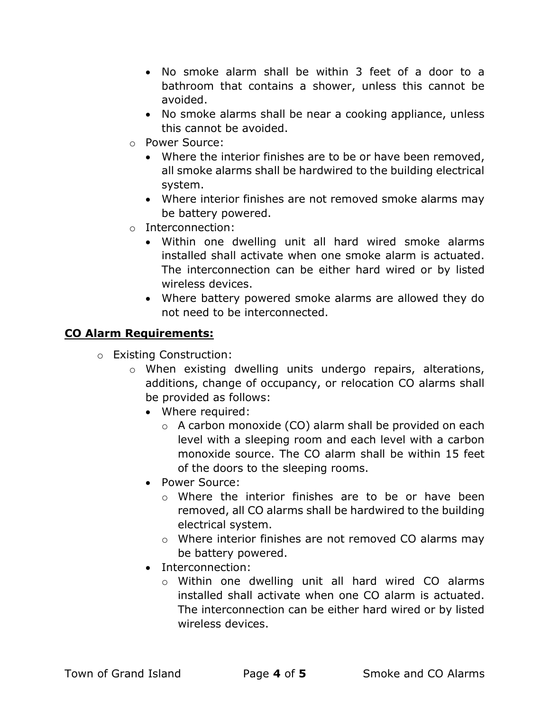- No smoke alarm shall be within 3 feet of a door to a bathroom that contains a shower, unless this cannot be avoided.
- No smoke alarms shall be near a cooking appliance, unless this cannot be avoided.
- o Power Source:
	- Where the interior finishes are to be or have been removed, all smoke alarms shall be hardwired to the building electrical system.
	- Where interior finishes are not removed smoke alarms may be battery powered.
- o Interconnection:
	- Within one dwelling unit all hard wired smoke alarms installed shall activate when one smoke alarm is actuated. The interconnection can be either hard wired or by listed wireless devices.
	- Where battery powered smoke alarms are allowed they do not need to be interconnected.

# CO Alarm Requirements:

- o Existing Construction:
	- o When existing dwelling units undergo repairs, alterations, additions, change of occupancy, or relocation CO alarms shall be provided as follows:
		- Where required:
			- o A carbon monoxide (CO) alarm shall be provided on each level with a sleeping room and each level with a carbon monoxide source. The CO alarm shall be within 15 feet of the doors to the sleeping rooms.
		- Power Source:
			- o Where the interior finishes are to be or have been removed, all CO alarms shall be hardwired to the building electrical system.
			- o Where interior finishes are not removed CO alarms may be battery powered.
		- Interconnection:
			- o Within one dwelling unit all hard wired CO alarms installed shall activate when one CO alarm is actuated. The interconnection can be either hard wired or by listed wireless devices.